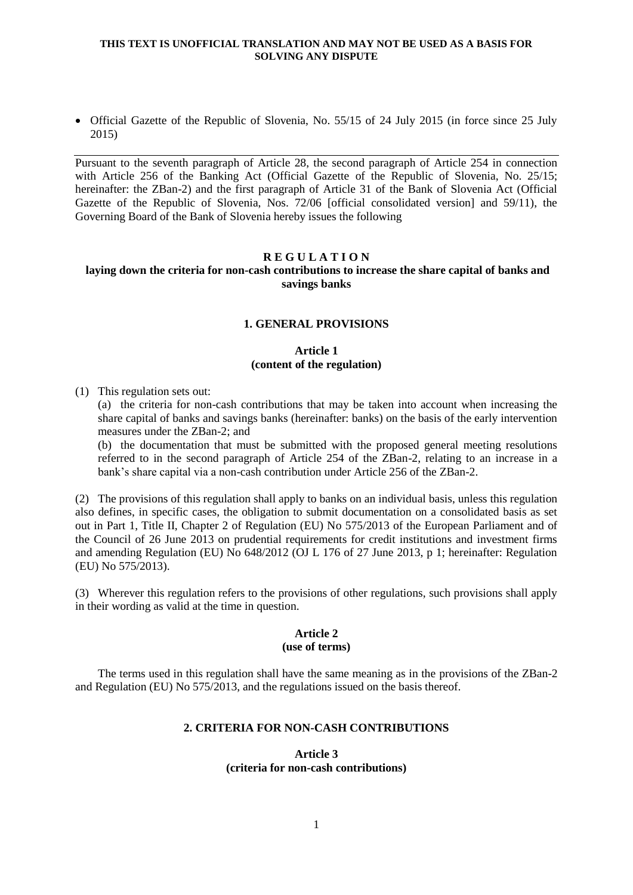### **THIS TEXT IS UNOFFICIAL TRANSLATION AND MAY NOT BE USED AS A BASIS FOR SOLVING ANY DISPUTE**

• Official Gazette of the Republic of Slovenia, No. 55/15 of 24 July 2015 (in force since 25 July 2015)

Pursuant to the seventh paragraph of Article 28, the second paragraph of Article 254 in connection with Article 256 of the Banking Act (Official Gazette of the Republic of Slovenia, No. 25/15; hereinafter: the ZBan-2) and the first paragraph of Article 31 of the Bank of Slovenia Act (Official Gazette of the Republic of Slovenia, Nos. 72/06 [official consolidated version] and 59/11), the Governing Board of the Bank of Slovenia hereby issues the following

## **R E G U L A T I O N**

## **laying down the criteria for non-cash contributions to increase the share capital of banks and savings banks**

### **1. GENERAL PROVISIONS**

## **Article 1 (content of the regulation)**

(1) This regulation sets out:

(a) the criteria for non-cash contributions that may be taken into account when increasing the share capital of banks and savings banks (hereinafter: banks) on the basis of the early intervention measures under the ZBan-2; and

(b) the documentation that must be submitted with the proposed general meeting resolutions referred to in the second paragraph of Article 254 of the ZBan-2, relating to an increase in a bank's share capital via a non-cash contribution under Article 256 of the ZBan-2.

(2) The provisions of this regulation shall apply to banks on an individual basis, unless this regulation also defines, in specific cases, the obligation to submit documentation on a consolidated basis as set out in Part 1, Title II, Chapter 2 of Regulation (EU) No 575/2013 of the European Parliament and of the Council of 26 June 2013 on prudential requirements for credit institutions and investment firms and amending Regulation (EU) No 648/2012 (OJ L 176 of 27 June 2013, p 1; hereinafter: Regulation (EU) No 575/2013).

(3) Wherever this regulation refers to the provisions of other regulations, such provisions shall apply in their wording as valid at the time in question.

### **Article 2 (use of terms)**

The terms used in this regulation shall have the same meaning as in the provisions of the ZBan-2 and Regulation (EU) No 575/2013, and the regulations issued on the basis thereof.

# **2. CRITERIA FOR NON-CASH CONTRIBUTIONS**

## **Article 3 (criteria for non-cash contributions)**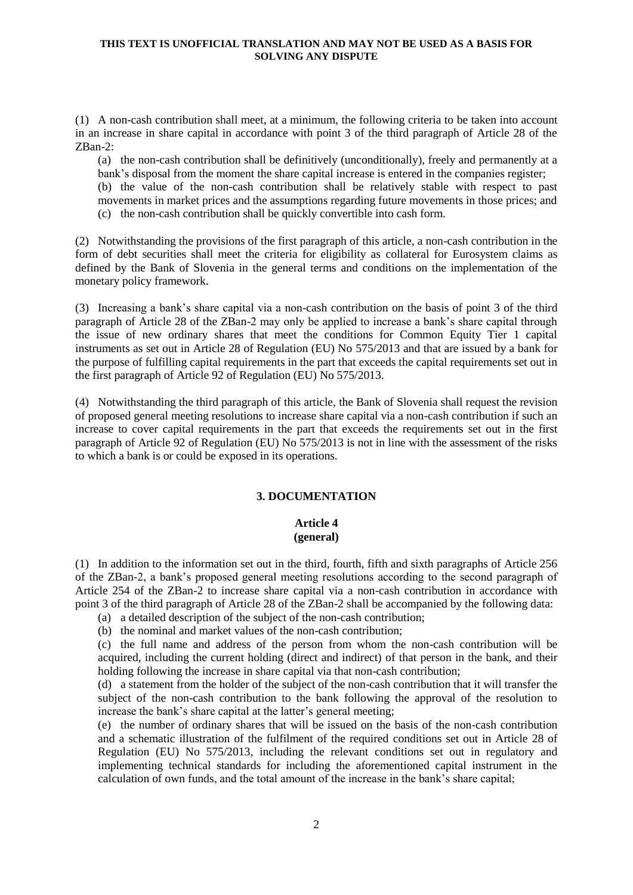#### **THIS TEXT IS UNOFFICIAL TRANSLATION AND MAY NOT BE USED AS A BASIS FOR SOLVING ANY DISPUTE**

(1) A non-cash contribution shall meet, at a minimum, the following criteria to be taken into account in an increase in share capital in accordance with point 3 of the third paragraph of Article 28 of the ZBan-2:

(a) the non-cash contribution shall be definitively (unconditionally), freely and permanently at a bank's disposal from the moment the share capital increase is entered in the companies register;

(b) the value of the non-cash contribution shall be relatively stable with respect to past movements in market prices and the assumptions regarding future movements in those prices; and (c) the non-cash contribution shall be quickly convertible into cash form.

(2) Notwithstanding the provisions of the first paragraph of this article, a non-cash contribution in the form of debt securities shall meet the criteria for eligibility as collateral for Eurosystem claims as defined by the Bank of Slovenia in the general terms and conditions on the implementation of the monetary policy framework.

(3) Increasing a bank's share capital via a non-cash contribution on the basis of point 3 of the third paragraph of Article 28 of the ZBan-2 may only be applied to increase a bank's share capital through the issue of new ordinary shares that meet the conditions for Common Equity Tier 1 capital instruments as set out in Article 28 of Regulation (EU) No 575/2013 and that are issued by a bank for the purpose of fulfilling capital requirements in the part that exceeds the capital requirements set out in the first paragraph of Article 92 of Regulation (EU) No 575/2013.

(4) Notwithstanding the third paragraph of this article, the Bank of Slovenia shall request the revision of proposed general meeting resolutions to increase share capital via a non-cash contribution if such an increase to cover capital requirements in the part that exceeds the requirements set out in the first paragraph of Article 92 of Regulation (EU) No 575/2013 is not in line with the assessment of the risks to which a bank is or could be exposed in its operations.

# **3. DOCUMENTATION**

# **Article 4 (general)**

(1) In addition to the information set out in the third, fourth, fifth and sixth paragraphs of Article 256 of the ZBan-2, a bank's proposed general meeting resolutions according to the second paragraph of Article 254 of the ZBan-2 to increase share capital via a non-cash contribution in accordance with point 3 of the third paragraph of Article 28 of the ZBan-2 shall be accompanied by the following data:

- (a) a detailed description of the subject of the non-cash contribution;
- (b) the nominal and market values of the non-cash contribution;

(c) the full name and address of the person from whom the non-cash contribution will be acquired, including the current holding (direct and indirect) of that person in the bank, and their holding following the increase in share capital via that non-cash contribution;

(d) a statement from the holder of the subject of the non-cash contribution that it will transfer the subject of the non-cash contribution to the bank following the approval of the resolution to increase the bank's share capital at the latter's general meeting;

(e) the number of ordinary shares that will be issued on the basis of the non-cash contribution and a schematic illustration of the fulfilment of the required conditions set out in Article 28 of Regulation (EU) No 575/2013, including the relevant conditions set out in regulatory and implementing technical standards for including the aforementioned capital instrument in the calculation of own funds, and the total amount of the increase in the bank's share capital;